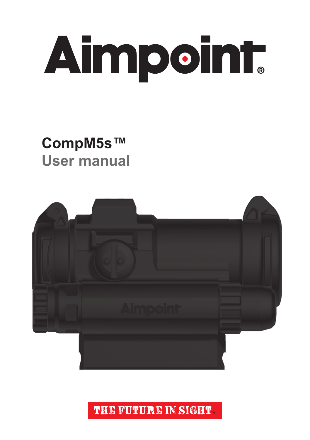

### **CompM5s™ User manual**



THE FUTURE IN SIGHT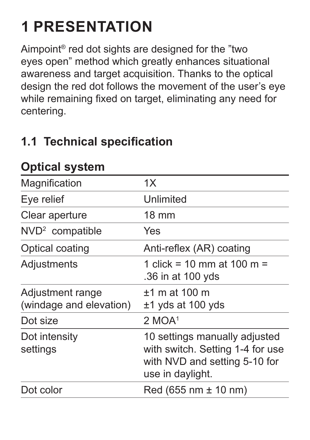## **1 PRESENTATION**

Aimpoint® red dot sights are designed for the "two eyes open" method which greatly enhances situational awareness and target acquisition. Thanks to the optical design the red dot follows the movement of the user's eye while remaining fixed on target, eliminating any need for centering.

#### **1.1 Technical specification**

| Magnification                               | 1X                                                                                                                     |
|---------------------------------------------|------------------------------------------------------------------------------------------------------------------------|
| Eye relief                                  | Unlimited                                                                                                              |
| Clear aperture                              | $18 \text{ mm}$                                                                                                        |
| NVD <sup>2</sup> compatible                 | Yes                                                                                                                    |
| Optical coating                             | Anti-reflex (AR) coating                                                                                               |
| Adjustments                                 | 1 click = 10 mm at 100 m =<br>.36 in at 100 yds                                                                        |
| Adjustment range<br>(windage and elevation) | $±1$ m at 100 m<br>$±1$ yds at 100 yds                                                                                 |
| Dot size                                    | $2$ MOA <sup>1</sup>                                                                                                   |
| Dot intensity<br>settings                   | 10 settings manually adjusted<br>with switch. Setting 1-4 for use<br>with NVD and setting 5-10 for<br>use in daylight. |
| Dot color                                   | $Red (655 nm \pm 10 nm)$                                                                                               |
|                                             |                                                                                                                        |

#### **Optical system**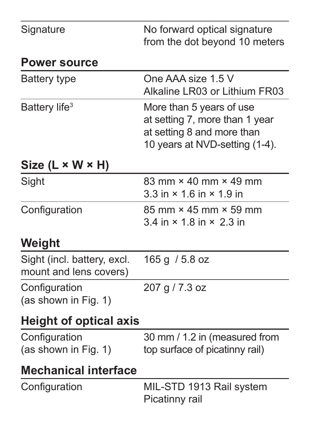| Signature                                             | No forward optical signature<br>from the dot beyond 10 meters                                                              |
|-------------------------------------------------------|----------------------------------------------------------------------------------------------------------------------------|
| <b>Power source</b>                                   |                                                                                                                            |
| Battery type                                          | One AAA size 1.5 V<br>Alkaline LR03 or Lithium FR03                                                                        |
| Battery life <sup>3</sup>                             | More than 5 years of use<br>at setting 7, more than 1 year<br>at setting 8 and more than<br>10 years at NVD-setting (1-4). |
| Size (L × W × H)                                      |                                                                                                                            |
| Sight                                                 | $83 \text{ mm} \times 40 \text{ mm} \times 49 \text{ mm}$<br>$3.3$ in $\times$ 1.6 in $\times$ 1.9 in                      |
| Configuration                                         | $85 \text{ mm} \times 45 \text{ mm} \times 59 \text{ mm}$<br>$3.4$ in $\times$ 1.8 in $\times$ 2.3 in                      |
| Weight                                                |                                                                                                                            |
| Sight (incl. battery, excl.<br>mount and lens covers) | 165 g / 5.8 oz                                                                                                             |
| Configuration<br>(as shown in Fig. 1)                 | 207 g / 7.3 oz                                                                                                             |
| <b>Height of optical axis</b>                         |                                                                                                                            |
| Configuration<br>(as shown in Fig. 1)                 | 30 mm / 1.2 in (measured from<br>top surface of picatinny rail)                                                            |
| <b>Mechanical interface</b>                           |                                                                                                                            |
| Configuration                                         | MIL-STD 1913 Rail system<br>Picatinny rail                                                                                 |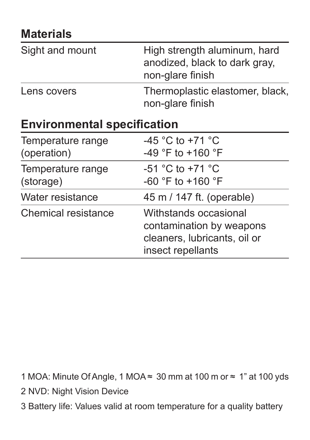#### **Materials**

| Sight and mount                    | High strength aluminum, hard<br>anodized, black to dark gray,<br>non-glare finish |  |
|------------------------------------|-----------------------------------------------------------------------------------|--|
| Lens covers                        | Thermoplastic elastomer, black,<br>non-glare finish                               |  |
| <b>Environmental specification</b> |                                                                                   |  |

| Temperature range<br>(operation) | $-45$ °C to +71 °C<br>-49 °F to +160 °F                                                                |
|----------------------------------|--------------------------------------------------------------------------------------------------------|
| Temperature range<br>(storage)   | $-51$ °C to $+71$ °C<br>-60 °F to +160 °F                                                              |
| Water resistance                 | 45 m / 147 ft. (operable)                                                                              |
| Chemical resistance              | Withstands occasional<br>contamination by weapons<br>cleaners, lubricants, oil or<br>insect repellants |

1 MOA: Minute Of Angle, 1 MOA ≈ 30 mm at 100 m or ≈ 1" at 100 yds

- 2 NVD: Night Vision Device
- 3 Battery life: Values valid at room temperature for a quality battery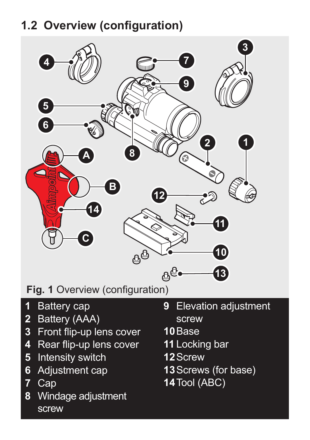### **1.2 Overview (configuration)**



**Fig. 1** Overview (configuration)

- Battery cap
- Battery (AAA)
- Front flip-up lens cover
- Rear flip-up lens cover
- Intensity switch
- Adjustment cap
- Cap

screw

Windage adjustment

- Elevation adiustment screw
- Base
- Locking bar
- Screw
- Screws (for base)
- Tool (ABC)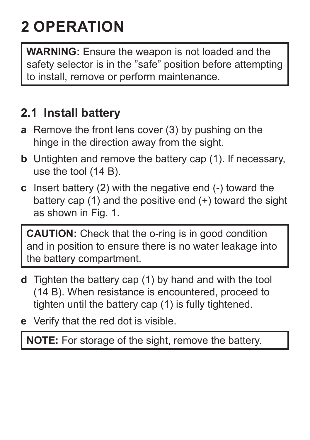## **2 OPERATION**

**WARNING:** Ensure the weapon is not loaded and the safety selector is in the "safe" position before attempting to install, remove or perform maintenance.

#### **2.1 Install battery**

- **a** Remove the front lens cover (3) by pushing on the hinge in the direction away from the sight.
- **b** Untighten and remove the battery cap (1). If necessary, use the tool (14 B).
- **c** Insert battery (2) with the negative end (-) toward the battery cap  $(1)$  and the positive end  $(+)$  toward the sight as shown in Fig. 1.

**CAUTION:** Check that the o-ring is in good condition and in position to ensure there is no water leakage into the battery compartment.

- **d** Tighten the battery cap (1) by hand and with the tool (14 B). When resistance is encountered, proceed to tighten until the battery cap (1) is fully tightened.
- **e** Verify that the red dot is visible.

**NOTE:** For storage of the sight, remove the battery.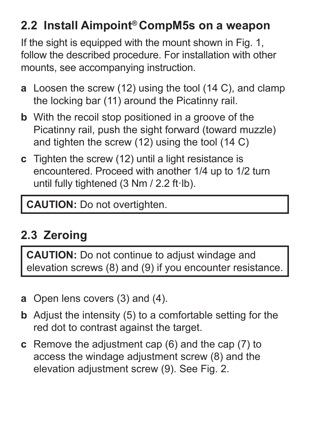#### **2.2 Install Aimpoint® CompM5s on a weapon**

If the sight is equipped with the mount shown in Fig. 1. follow the described procedure. For installation with other mounts, see accompanying instruction.

- **a** Loosen the screw (12) using the tool (14 C), and clamp the locking bar (11) around the Picatinny rail.
- **b** With the recoil stop positioned in a groove of the Picatinny rail, push the sight forward (toward muzzle) and tighten the screw  $(12)$  using the tool  $(14 \text{ C})$
- **c** Tighten the screw (12) until a light resistance is encountered. Proceed with another 1/4 up to 1/2 turn until fully tightened (3 Nm / 2.2 ft·lb).

**CAUTION:** Do not overtighten.

### **2.3 Zeroing**

**CAUTION:** Do not continue to adjust windage and elevation screws (8) and (9) if you encounter resistance.

- **a** Open lens covers (3) and (4).
- **b** Adjust the intensity (5) to a comfortable setting for the red dot to contrast against the target.
- **c** Remove the adjustment cap (6) and the cap (7) to access the windage adjustment screw (8) and the elevation adjustment screw (9). See Fig. 2.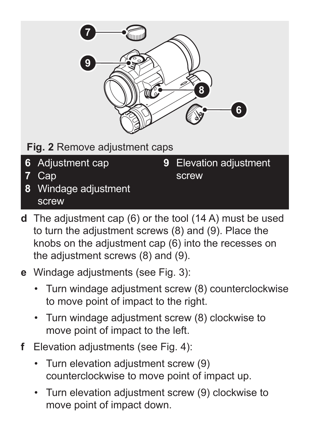

**Fig. 2** Remove adjustment caps

- **6** Adjustment cap
- **7** Cap
- **8** Windage adjustment screw

**9** Elevation adjustment screw

- **d** The adjustment cap (6) or the tool (14 A) must be used to turn the adjustment screws (8) and (9). Place the knobs on the adjustment cap (6) into the recesses on the adjustment screws (8) and (9).
- **e** Windage adjustments (see Fig. 3):
	- Turn windage adjustment screw (8) counterclockwise to move point of impact to the right.
	- Turn windage adjustment screw (8) clockwise to move point of impact to the left.
- **f** Elevation adjustments (see [Fig. 4](#page-8-0)):
	- Turn elevation adjustment screw (9) counterclockwise to move point of impact up.
	- Turn elevation adjustment screw (9) clockwise to move point of impact down.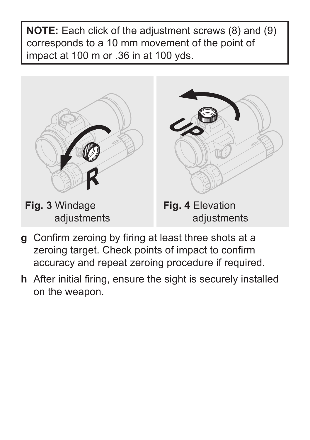**NOTE:** Each click of the adjustment screws (8) and (9) corresponds to a 10 mm movement of the point of impact at 100 m or .36 in at 100 yds.



- <span id="page-8-0"></span>**g** Confirm zeroing by firing at least three shots at a zeroing target. Check points of impact to confirm accuracy and repeat zeroing procedure if required.
- **h** After initial firing, ensure the sight is securely installed on the weapon.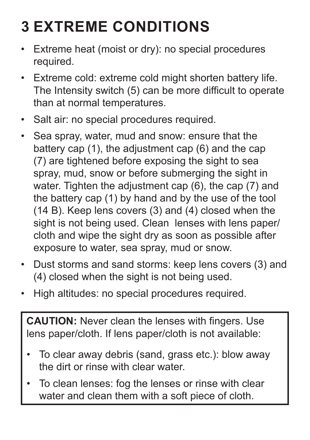## **3 EXTREME CONDITIONS**

- Extreme heat (moist or dry): no special procedures required.
- Extreme cold: extreme cold might shorten battery life. The Intensity switch (5) can be more difficult to operate than at normal temperatures.
- Salt air: no special procedures required.
- Sea spray, water, mud and snow: ensure that the battery cap (1), the adjustment cap (6) and the cap (7) are tightened before exposing the sight to sea spray, mud, snow or before submerging the sight in water. Tighten the adjustment cap (6), the cap (7) and the battery cap (1) by hand and by the use of the tool (14 B). Keep lens covers (3) and (4) closed when the sight is not being used. Clean lenses with lens paper/ cloth and wipe the sight dry as soon as possible after exposure to water, sea spray, mud or snow.
- Dust storms and sand storms: keep lens covers (3) and (4) closed when the sight is not being used.
- High altitudes: no special procedures required.

**CAUTION:** Never clean the lenses with fingers. Use lens paper/cloth. If lens paper/cloth is not available:

- To clear away debris (sand, grass etc.): blow away the dirt or rinse with clear water.
- To clean lenses: fog the lenses or rinse with clear water and clean them with a soft piece of cloth.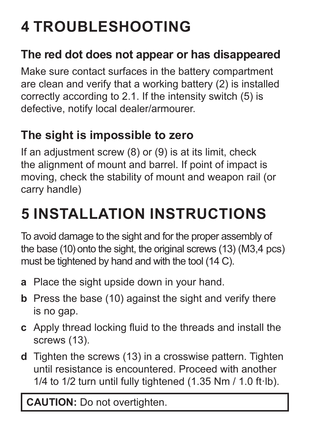# **4 TROUBLESHOOTING**

#### **The red dot does not appear or has disappeared**

Make sure contact surfaces in the battery compartment are clean and verify that a working battery (2) is installed correctly according to 2.1. If the intensity switch (5) is defective, notify local dealer/armourer.

#### **The sight is impossible to zero**

If an adjustment screw  $(8)$  or  $(9)$  is at its limit, check the alignment of mount and barrel. If point of impact is moving, check the stability of mount and weapon rail (or carry handle)

## **5 INSTALLATION INSTRUCTIONS**

To avoid damage to the sight and for the proper assembly of the base (10) onto the sight, the original screws (13) (M3,4 pcs) must be tightened by hand and with the tool (14 C).

- **a** Place the sight upside down in your hand.
- **b** Press the base (10) against the sight and verify there is no gap.
- **c** Apply thread locking fluid to the threads and install the screws (13).
- **d** Tighten the screws (13) in a crosswise pattern. Tighten until resistance is encountered. Proceed with another 1/4 to 1/2 turn until fully tightened  $(1.35$  Nm  $/ 1.0$  ft·lb).

**CAUTION:** Do not overtighten.